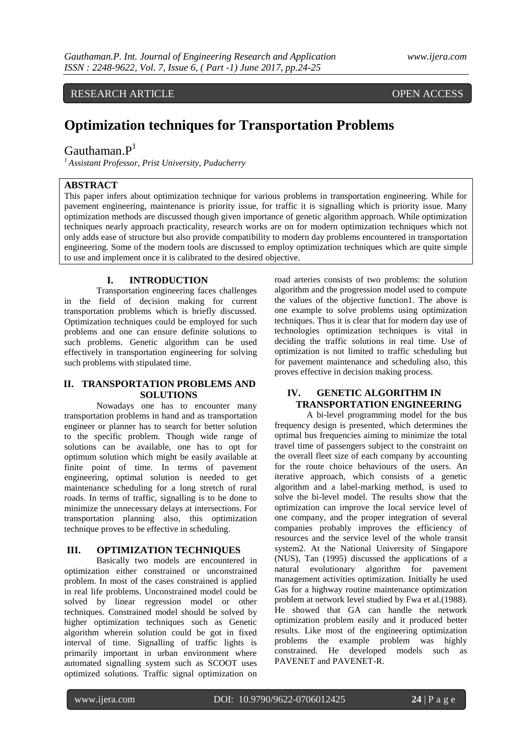RESEARCH ARTICLE OPEN ACCESS

# **Optimization techniques for Transportation Problems**

## Gauthaman. $P<sup>1</sup>$

*<sup>1</sup>Assistant Professor, Prist University, Puducherry*

#### **ABSTRACT**

This paper infers about optimization technique for various problems in transportation engineering. While for pavement engineering, maintenance is priority issue, for traffic it is signalling which is priority issue. Many optimization methods are discussed though given importance of genetic algorithm approach. While optimization techniques nearly approach practicality, research works are on for modern optimization techniques which not only adds ease of structure but also provide compatibility to modern day problems encountered in transportation engineering. Some of the modern tools are discussed to employ optimization techniques which are quite simple to use and implement once it is calibrated to the desired objective.

#### **I. INTRODUCTION**

Transportation engineering faces challenges in the field of decision making for current transportation problems which is briefly discussed. Optimization techniques could be employed for such problems and one can ensure definite solutions to such problems. Genetic algorithm can be used effectively in transportation engineering for solving such problems with stipulated time.

#### **II. TRANSPORTATION PROBLEMS AND SOLUTIONS**

Nowadays one has to encounter many transportation problems in hand and as transportation engineer or planner has to search for better solution to the specific problem. Though wide range of solutions can be available, one has to opt for optimum solution which might be easily available at finite point of time. In terms of pavement engineering, optimal solution is needed to get maintenance scheduling for a long stretch of rural roads. In terms of traffic, signalling is to be done to minimize the unnecessary delays at intersections. For transportation planning also, this optimization technique proves to be effective in scheduling.

#### **III. OPTIMIZATION TECHNIQUES**

Basically two models are encountered in optimization either constrained or unconstrained problem. In most of the cases constrained is applied in real life problems. Unconstrained model could be solved by linear regression model or other techniques. Constrained model should be solved by higher optimization techniques such as Genetic algorithm wherein solution could be got in fixed interval of time. Signalling of traffic lights is primarily important in urban environment where automated signalling system such as SCOOT uses optimized solutions. Traffic signal optimization on

road arteries consists of two problems: the solution algorithm and the progression model used to compute the values of the objective function1. The above is one example to solve problems using optimization techniques. Thus it is clear that for modern day use of technologies optimization techniques is vital in deciding the traffic solutions in real time. Use of optimization is not limited to traffic scheduling but for pavement maintenance and scheduling also, this proves effective in decision making process.

#### **IV. GENETIC ALGORITHM IN TRANSPORTATION ENGINEERING**

A bi-level programming model for the bus frequency design is presented, which determines the optimal bus frequencies aiming to minimize the total travel time of passengers subject to the constraint on the overall fleet size of each company by accounting for the route choice behaviours of the users. An iterative approach, which consists of a genetic algorithm and a label-marking method, is used to solve the bi-level model. The results show that the optimization can improve the local service level of one company, and the proper integration of several companies probably improves the efficiency of resources and the service level of the whole transit system2. At the National University of Singapore (NUS), Tan (1995) discussed the applications of a natural evolutionary algorithm for pavement management activities optimization. Initially he used Gas for a highway routine maintenance optimization problem at network level studied by Fwa et al.(1988). He showed that GA can handle the network optimization problem easily and it produced better results. Like most of the engineering optimization problems the example problem was highly constrained. He developed models such as PAVENET and PAVENET-R.